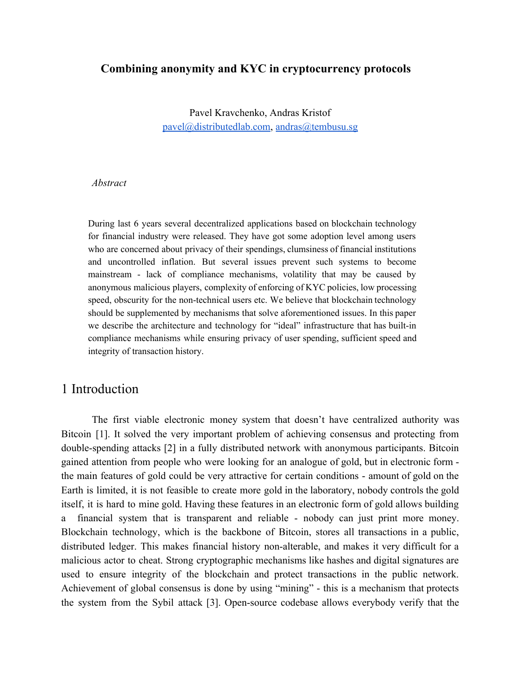#### **Combining anonymity and KYC in cryptocurrency protocols**

Pavel Kravchenko, Andras Kristof [pavel@distributedlab.com,](mailto:pavel@distributedlab.com) [andras@tembusu.sg](mailto:andras@tembusu.sg)

#### *Abstract*

During last 6 years several decentralized applications based on blockchain technology for financial industry were released. They have got some adoption level among users who are concerned about privacy of their spendings, clumsiness of financial institutions and uncontrolled inflation. But several issues prevent such systems to become mainstream - lack of compliance mechanisms, volatility that may be caused by anonymous malicious players, complexity of enforcing of KYC policies, low processing speed, obscurity for the non-technical users etc. We believe that blockchain technology should be supplemented by mechanisms that solve aforementioned issues. In this paper we describe the architecture and technology for "ideal" infrastructure that has built-in compliance mechanisms while ensuring privacy of user spending, sufficient speed and integrity of transaction history.

## 1 Introduction

The first viable electronic money system that doesn't have centralized authority was Bitcoin [1]. It solved the very important problem of achieving consensus and protecting from double-spending attacks [2] in a fully distributed network with anonymous participants. Bitcoin gained attention from people who were looking for an analogue of gold, but in electronic form the main features of gold could be very attractive for certain conditions - amount of gold on the Earth is limited, it is not feasible to create more gold in the laboratory, nobody controls the gold itself, it is hard to mine gold. Having these features in an electronic form of gold allows building a financial system that is transparent and reliable - nobody can just print more money. Blockchain technology, which is the backbone of Bitcoin, stores all transactions in a public, distributed ledger. This makes financial history non-alterable, and makes it very difficult for a malicious actor to cheat. Strong cryptographic mechanisms like hashes and digital signatures are used to ensure integrity of the blockchain and protect transactions in the public network. Achievement of global consensus is done by using "mining" - this is a mechanism that protects the system from the Sybil attack [3]. Open-source codebase allows everybody verify that the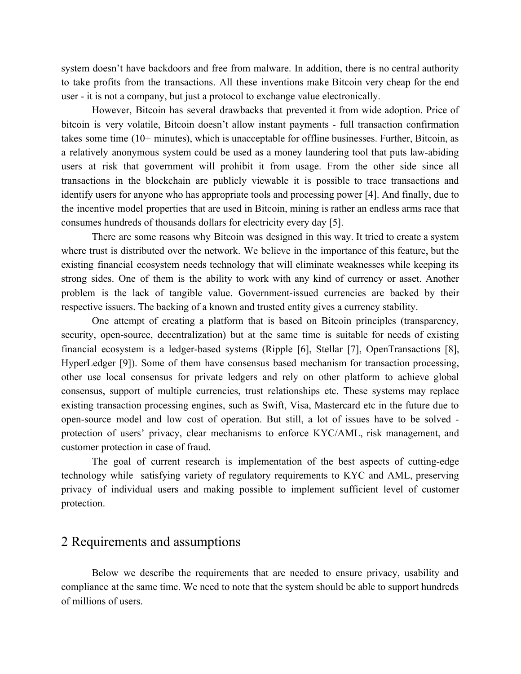system doesn't have backdoors and free from malware. In addition, there is no central authority to take profits from the transactions. All these inventions make Bitcoin very cheap for the end user - it is not a company, but just a protocol to exchange value electronically.

However, Bitcoin has several drawbacks that prevented it from wide adoption. Price of bitcoin is very volatile, Bitcoin doesn't allow instant payments - full transaction confirmation takes some time (10+ minutes), which is unacceptable for offline businesses. Further, Bitcoin, as a relatively anonymous system could be used as a money laundering tool that puts law-abiding users at risk that government will prohibit it from usage. From the other side since all transactions in the blockchain are publicly viewable it is possible to trace transactions and identify users for anyone who has appropriate tools and processing power [4]. And finally, due to the incentive model properties that are used in Bitcoin, mining is rather an endless arms race that consumes hundreds of thousands dollars for electricity every day [5].

There are some reasons why Bitcoin was designed in this way. It tried to create a system where trust is distributed over the network. We believe in the importance of this feature, but the existing financial ecosystem needs technology that will eliminate weaknesses while keeping its strong sides. One of them is the ability to work with any kind of currency or asset. Another problem is the lack of tangible value. Government-issued currencies are backed by their respective issuers. The backing of a known and trusted entity gives a currency stability.

One attempt of creating a platform that is based on Bitcoin principles (transparency, security, open-source, decentralization) but at the same time is suitable for needs of existing financial ecosystem is a ledger-based systems (Ripple [6], Stellar [7], OpenTransactions [8], HyperLedger [9]). Some of them have consensus based mechanism for transaction processing, other use local consensus for private ledgers and rely on other platform to achieve global consensus, support of multiple currencies, trust relationships etc. These systems may replace existing transaction processing engines, such as Swift, Visa, Mastercard etc in the future due to open-source model and low cost of operation. But still, a lot of issues have to be solved protection of users' privacy, clear mechanisms to enforce KYC/AML, risk management, and customer protection in case of fraud.

The goal of current research is implementation of the best aspects of cutting-edge technology while satisfying variety of regulatory requirements to KYC and AML, preserving privacy of individual users and making possible to implement sufficient level of customer protection.

## 2 Requirements and assumptions

Below we describe the requirements that are needed to ensure privacy, usability and compliance at the same time. We need to note that the system should be able to support hundreds of millions of users.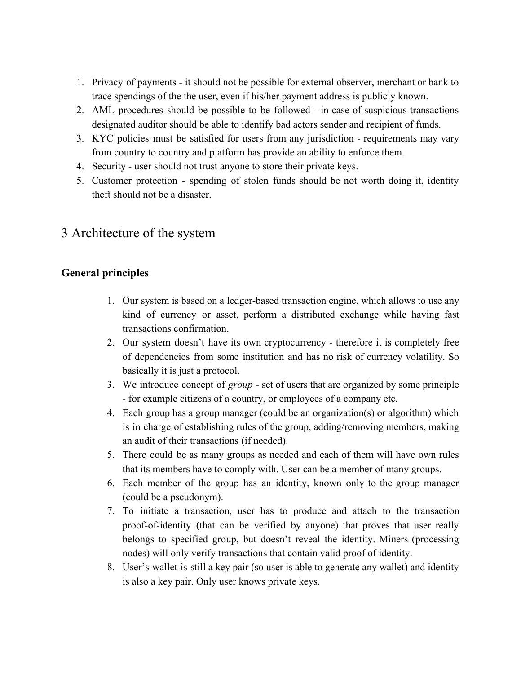- 1. Privacy of payments it should not be possible for external observer, merchant or bank to trace spendings of the the user, even if his/her payment address is publicly known.
- 2. AML procedures should be possible to be followed in case of suspicious transactions designated auditor should be able to identify bad actors sender and recipient of funds.
- 3. KYC policies must be satisfied for users from any jurisdiction requirements may vary from country to country and platform has provide an ability to enforce them.
- 4. Security user should not trust anyone to store their private keys.
- 5. Customer protection spending of stolen funds should be not worth doing it, identity theft should not be a disaster.

# 3 Architecture of the system

## **General principles**

- 1. Our system is based on a ledger-based transaction engine, which allows to use any kind of currency or asset, perform a distributed exchange while having fast transactions confirmation.
- 2. Our system doesn't have its own cryptocurrency therefore it is completely free of dependencies from some institution and has no risk of currency volatility. So basically it is just a protocol.
- 3. We introduce concept of *group -* set of users that are organized by some principle - for example citizens of a country, or employees of a company etc.
- 4. Each group has a group manager (could be an organization(s) or algorithm) which is in charge of establishing rules of the group, adding/removing members, making an audit of their transactions (if needed).
- 5. There could be as many groups as needed and each of them will have own rules that its members have to comply with. User can be a member of many groups.
- 6. Each member of the group has an identity, known only to the group manager (could be a pseudonym).
- 7. To initiate a transaction, user has to produce and attach to the transaction proof-of-identity (that can be verified by anyone) that proves that user really belongs to specified group, but doesn't reveal the identity. Miners (processing nodes) will only verify transactions that contain valid proof of identity.
- 8. User's wallet is still a key pair (so user is able to generate any wallet) and identity is also a key pair. Only user knows private keys.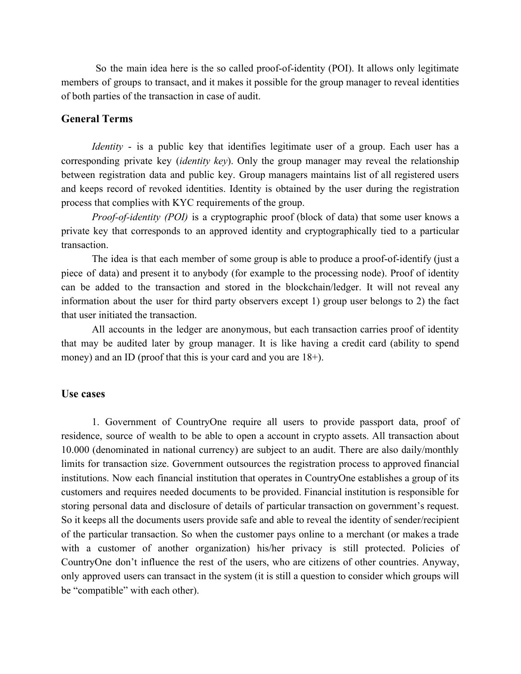So the main idea here is the so called proof-of-identity (POI). It allows only legitimate members of groups to transact, and it makes it possible for the group manager to reveal identities of both parties of the transaction in case of audit.

#### **General Terms**

*Identity* - is a public key that identifies legitimate user of a group. Each user has a corresponding private key (*identity key*). Only the group manager may reveal the relationship between registration data and public key. Group managers maintains list of all registered users and keeps record of revoked identities. Identity is obtained by the user during the registration process that complies with KYC requirements of the group.

*Proof-of-identity (POI)* is a cryptographic proof (block of data) that some user knows a private key that corresponds to an approved identity and cryptographically tied to a particular transaction.

The idea is that each member of some group is able to produce a proof-of-identify (just a piece of data) and present it to anybody (for example to the processing node). Proof of identity can be added to the transaction and stored in the blockchain/ledger. It will not reveal any information about the user for third party observers except 1) group user belongs to 2) the fact that user initiated the transaction.

All accounts in the ledger are anonymous, but each transaction carries proof of identity that may be audited later by group manager. It is like having a credit card (ability to spend money) and an ID (proof that this is your card and you are 18+).

#### **Use cases**

1. Government of CountryOne require all users to provide passport data, proof of residence, source of wealth to be able to open a account in crypto assets. All transaction about 10.000 (denominated in national currency) are subject to an audit. There are also daily/monthly limits for transaction size. Government outsources the registration process to approved financial institutions. Now each financial institution that operates in CountryOne establishes a group of its customers and requires needed documents to be provided. Financial institution is responsible for storing personal data and disclosure of details of particular transaction on government's request. So it keeps all the documents users provide safe and able to reveal the identity of sender/recipient of the particular transaction. So when the customer pays online to a merchant (or makes a trade with a customer of another organization) his/her privacy is still protected. Policies of CountryOne don't influence the rest of the users, who are citizens of other countries. Anyway, only approved users can transact in the system (it is still a question to consider which groups will be "compatible" with each other).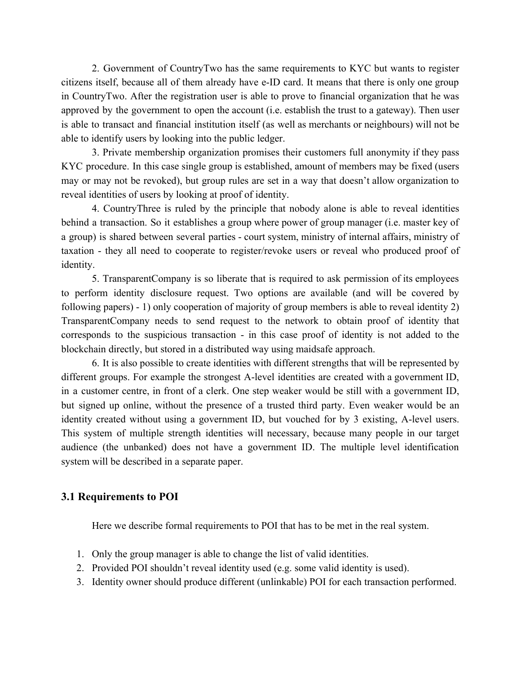2. Government of CountryTwo has the same requirements to KYC but wants to register citizens itself, because all of them already have e-ID card. It means that there is only one group in CountryTwo. After the registration user is able to prove to financial organization that he was approved by the government to open the account (i.e. establish the trust to a gateway). Then user is able to transact and financial institution itself (as well as merchants or neighbours) will not be able to identify users by looking into the public ledger.

3. Private membership organization promises their customers full anonymity if they pass KYC procedure. In this case single group is established, amount of members may be fixed (users may or may not be revoked), but group rules are set in a way that doesn't allow organization to reveal identities of users by looking at proof of identity.

4. CountryThree is ruled by the principle that nobody alone is able to reveal identities behind a transaction. So it establishes a group where power of group manager (i.e. master key of a group) is shared between several parties - court system, ministry of internal affairs, ministry of taxation - they all need to cooperate to register/revoke users or reveal who produced proof of identity.

5. TransparentCompany is so liberate that is required to ask permission of its employees to perform identity disclosure request. Two options are available (and will be covered by following papers) - 1) only cooperation of majority of group members is able to reveal identity 2) TransparentCompany needs to send request to the network to obtain proof of identity that corresponds to the suspicious transaction - in this case proof of identity is not added to the blockchain directly, but stored in a distributed way using maidsafe approach.

6. It is also possible to create identities with different strengths that will be represented by different groups. For example the strongest A-level identities are created with a government ID, in a customer centre, in front of a clerk. One step weaker would be still with a government ID, but signed up online, without the presence of a trusted third party. Even weaker would be an identity created without using a government ID, but vouched for by 3 existing, A-level users. This system of multiple strength identities will necessary, because many people in our target audience (the unbanked) does not have a government ID. The multiple level identification system will be described in a separate paper.

#### **3.1 Requirements to POI**

Here we describe formal requirements to POI that has to be met in the real system.

- 1. Only the group manager is able to change the list of valid identities.
- 2. Provided POI shouldn't reveal identity used (e.g. some valid identity is used).
- 3. Identity owner should produce different (unlinkable) POI for each transaction performed.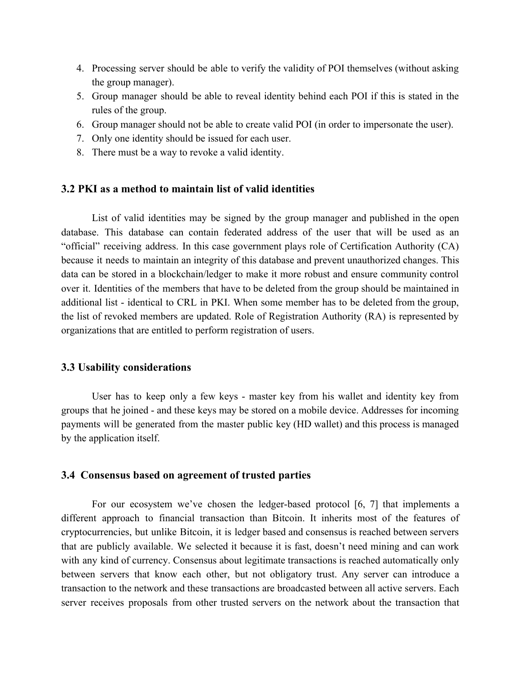- 4. Processing server should be able to verify the validity of POI themselves (without asking the group manager).
- 5. Group manager should be able to reveal identity behind each POI if this is stated in the rules of the group.
- 6. Group manager should not be able to create valid POI (in order to impersonate the user).
- 7. Only one identity should be issued for each user.
- 8. There must be a way to revoke a valid identity.

#### **3.2 PKI as a method to maintain list of valid identities**

List of valid identities may be signed by the group manager and published in the open database. This database can contain federated address of the user that will be used as an "official" receiving address. In this case government plays role of Certification Authority (CA) because it needs to maintain an integrity of this database and prevent unauthorized changes. This data can be stored in a blockchain/ledger to make it more robust and ensure community control over it. Identities of the members that have to be deleted from the group should be maintained in additional list - identical to CRL in PKI. When some member has to be deleted from the group, the list of revoked members are updated. Role of Registration Authority (RA) is represented by organizations that are entitled to perform registration of users.

#### **3.3 Usability considerations**

User has to keep only a few keys - master key from his wallet and identity key from groups that he joined - and these keys may be stored on a mobile device. Addresses for incoming payments will be generated from the master public key (HD wallet) and this process is managed by the application itself.

#### **3.4 Consensus based on agreement of trusted parties**

For our ecosystem we've chosen the ledger-based protocol [6, 7] that implements a different approach to financial transaction than Bitcoin. It inherits most of the features of cryptocurrencies, but unlike Bitcoin, it is ledger based and consensus is reached between servers that are publicly available. We selected it because it is fast, doesn't need mining and can work with any kind of currency. Consensus about legitimate transactions is reached automatically only between servers that know each other, but not obligatory trust. Any server can introduce a transaction to the network and these transactions are broadcasted between all active servers. Each server receives proposals from other trusted servers on the network about the transaction that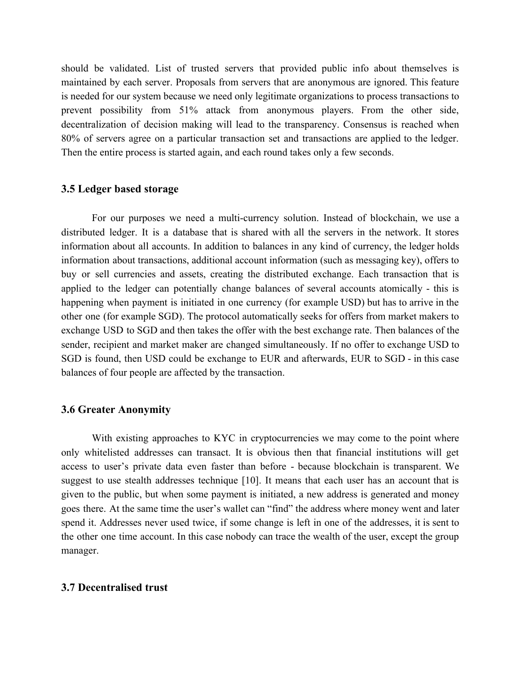should be validated. List of trusted servers that provided public info about themselves is maintained by each server. Proposals from servers that are anonymous are ignored. This feature is needed for our system because we need only legitimate organizations to process transactions to prevent possibility from 51% attack from anonymous players. From the other side, decentralization of decision making will lead to the transparency. Consensus is reached when 80% of servers agree on a particular transaction set and transactions are applied to the ledger. Then the entire process is started again, and each round takes only a few seconds.

#### **3.5 Ledger based storage**

For our purposes we need a multi-currency solution. Instead of blockchain, we use a distributed ledger. It is a database that is shared with all the servers in the network. It stores information about all accounts. In addition to balances in any kind of currency, the ledger holds information about transactions, additional account information (such as messaging key), offers to buy or sell currencies and assets, creating the distributed exchange. Each transaction that is applied to the ledger can potentially change balances of several accounts atomically - this is happening when payment is initiated in one currency (for example USD) but has to arrive in the other one (for example SGD). The protocol automatically seeks for offers from market makers to exchange USD to SGD and then takes the offer with the best exchange rate. Then balances of the sender, recipient and market maker are changed simultaneously. If no offer to exchange USD to SGD is found, then USD could be exchange to EUR and afterwards, EUR to SGD - in this case balances of four people are affected by the transaction.

#### **3.6 Greater Anonymity**

With existing approaches to KYC in cryptocurrencies we may come to the point where only whitelisted addresses can transact. It is obvious then that financial institutions will get access to user's private data even faster than before - because blockchain is transparent. We suggest to use stealth addresses technique [10]. It means that each user has an account that is given to the public, but when some payment is initiated, a new address is generated and money goes there. At the same time the user's wallet can "find" the address where money went and later spend it. Addresses never used twice, if some change is left in one of the addresses, it is sent to the other one time account. In this case nobody can trace the wealth of the user, except the group manager.

#### **3.7 Decentralised trust**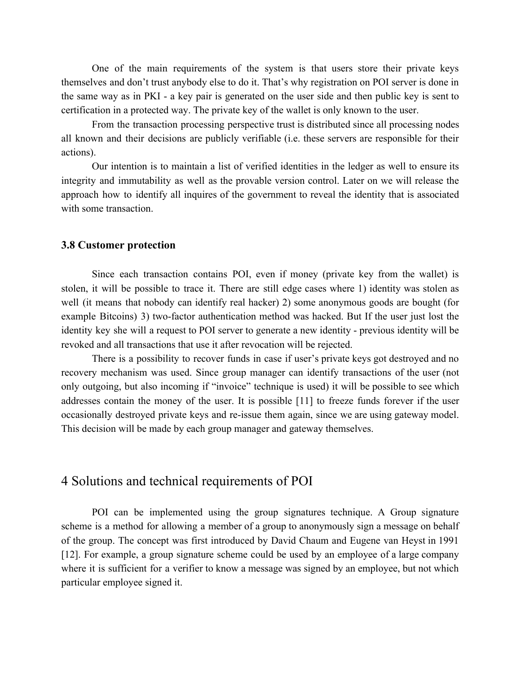One of the main requirements of the system is that users store their private keys themselves and don't trust anybody else to do it. That's why registration on POI server is done in the same way as in PKI - a key pair is generated on the user side and then public key is sent to certification in a protected way. The private key of the wallet is only known to the user.

From the transaction processing perspective trust is distributed since all processing nodes all known and their decisions are publicly verifiable (i.e. these servers are responsible for their actions).

Our intention is to maintain a list of verified identities in the ledger as well to ensure its integrity and immutability as well as the provable version control. Later on we will release the approach how to identify all inquires of the government to reveal the identity that is associated with some transaction.

#### **3.8 Customer protection**

Since each transaction contains POI, even if money (private key from the wallet) is stolen, it will be possible to trace it. There are still edge cases where 1) identity was stolen as well (it means that nobody can identify real hacker) 2) some anonymous goods are bought (for example Bitcoins) 3) two-factor authentication method was hacked. But If the user just lost the identity key she will a request to POI server to generate a new identity - previous identity will be revoked and all transactions that use it after revocation will be rejected.

There is a possibility to recover funds in case if user's private keys got destroyed and no recovery mechanism was used. Since group manager can identify transactions of the user (not only outgoing, but also incoming if "invoice" technique is used) it will be possible to see which addresses contain the money of the user. It is possible [11] to freeze funds forever if the user occasionally destroyed private keys and re-issue them again, since we are using gateway model. This decision will be made by each group manager and gateway themselves.

## 4 Solutions and technical requirements of POI

POI can be implemented using the group signatures technique. A Group signature scheme is a method for allowing a member of a group to anonymously [sign](http://en.wikipedia.org/wiki/Digital_signature) a message on behalf of the group. The concept was first introduced by David [Chaum](http://en.wikipedia.org/wiki/David_Chaum) and [Eugene](http://en.wikipedia.org/w/index.php?title=Eugene_van_Heyst&action=edit&redlink=1) van Heyst in 1991 [12]. For example, a group signature scheme could be used by an employee of a large company where it is sufficient for a verifier to know a message was signed by an employee, but not which particular employee signed it.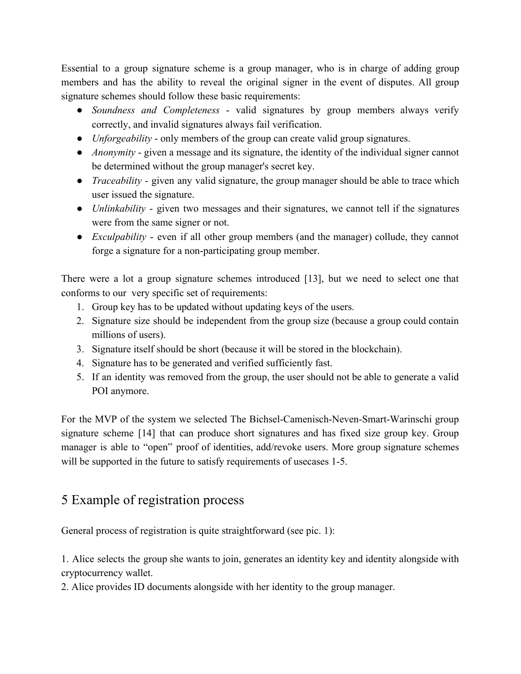Essential to a group signature scheme is a group manager, who is in charge of adding group members and has the ability to reveal the original signer in the event of disputes. All group signature schemes should follow these basic requirements:

- *Soundness and Completeness* valid signatures by group members always verify correctly, and invalid signatures always fail verification.
- *Unforgeability* only members of the group can create valid group signatures.
- *Anonymity* given a message and its signature, the identity of the individual signer cannot be determined without the group manager's [secret key.](http://en.wikipedia.org/wiki/Secret_key)
- *Traceability* given any valid signature, the group manager should be able to trace which user issued the signature.
- *Unlinkability* given two messages and their signatures, we cannot tell if the signatures were from the same signer or not.
- *Exculpability* even if all other group members (and the manager) [collude](http://en.wikipedia.org/wiki/Collusion), they cannot forge a signature for a non-participating group member.

There were a lot a group signature schemes introduced [13], but we need to select one that conforms to our very specific set of requirements:

- 1. Group key has to be updated without updating keys of the users.
- 2. Signature size should be independent from the group size (because a group could contain millions of users).
- 3. Signature itself should be short (because it will be stored in the blockchain).
- 4. Signature has to be generated and verified sufficiently fast.
- 5. If an identity was removed from the group, the user should not be able to generate a valid POI anymore.

For the MVP of the system we selected The Bichsel-Camenisch-Neven-Smart-Warinschi group signature scheme [14] that can produce short signatures and has fixed size group key. Group manager is able to "open" proof of identities, add/revoke users. More group signature schemes will be supported in the future to satisfy requirements of usecases 1-5.

# 5 Example of registration process

General process of registration is quite straightforward (see pic. 1):

1. Alice selects the group she wants to join, generates an identity key and identity alongside with cryptocurrency wallet.

2. Alice provides ID documents alongside with her identity to the group manager.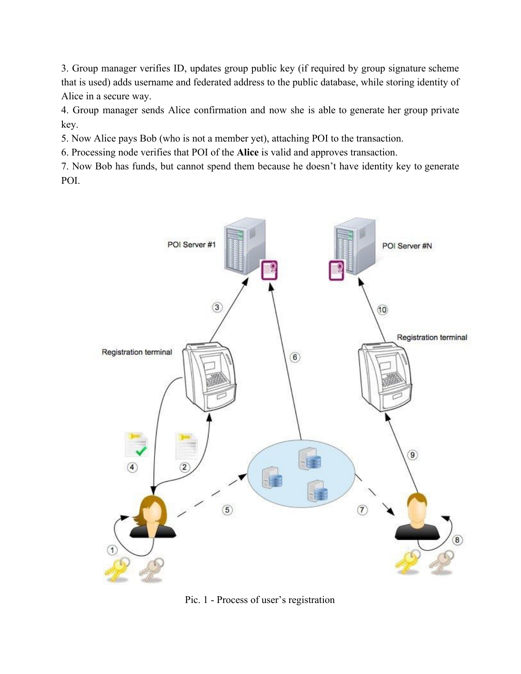3. Group manager verifies ID, updates group public key (if required by group signature scheme that is used) adds username and federated address to the public database, while storing identity of Alice in a secure way.

4. Group manager sends Alice confirmation and now she is able to generate her group private key.

5. Now Alice pays Bob (who is not a member yet), attaching POI to the transaction.

6. Processing node verifies that POI of the **Alice** is valid and approves transaction.

7. Now Bob has funds, but cannot spend them because he doesn't have identity key to generate POI.



Pic. 1 - Process of user's registration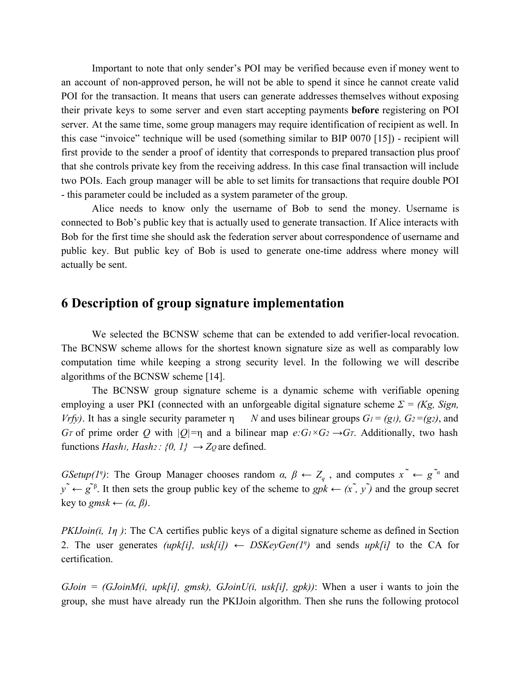Important to note that only sender's POI may be verified because even if money went to an account of non-approved person, he will not be able to spend it since he cannot create valid POI for the transaction. It means that users can generate addresses themselves without exposing their private keys to some server and even start accepting payments **before** registering on POI server. At the same time, some group managers may require identification of recipient as well. In this case "invoice" technique will be used (something similar to BIP 0070 [15]) - recipient will first provide to the sender a proof of identity that corresponds to prepared transaction plus proof that she controls private key from the receiving address. In this case final transaction will include two POIs. Each group manager will be able to set limits for transactions that require double POI - this parameter could be included as a system parameter of the group.

Alice needs to know only the username of Bob to send the money. Username is connected to Bob's public key that is actually used to generate transaction. If Alice interacts with Bob for the first time she should ask the federation server about correspondence of username and public key. But public key of Bob is used to generate one-time address where money will actually be sent.

## **6 Description of group signature implementation**

We selected the BCNSW scheme that can be extended to add verifier-local revocation. The BCNSW scheme allows for the shortest known signature size as well as comparably low computation time while keeping a strong security level. In the following we will describe algorithms of the BCNSW scheme [14].

The BCNSW group signature scheme is a dynamic scheme with verifiable opening employing a user PKI (connected with an unforgeable digital signature scheme  $\Sigma = (Kg, Sign,$ *Vrfy*). It has a single security parameter η *N* and uses bilinear groups  $G_1 = (g_1)$ ,  $G_2 = (g_2)$ , and *G*<sup>T</sup> of prime order *Q* with  $|Q| = \eta$  and a bilinear map  $e: G_1 \times G_2 \rightarrow G_7$ . Additionally, two hash functions *Hash*<sub>1</sub>, *Hash*<sub>2</sub> : {0, 1}  $\rightarrow$  *Z*<sub>*Q*</sub> are defined.

> *GSetup(1<sup><i>n*</sup>): The Group Manager chooses random *α,*  $\beta \leftarrow Z_q$ *, and computes*  $x^{\alpha} \leftarrow g^{\alpha}$  *and*  $y^{\tilde{}} \leftarrow g^{\tilde{}} \mathbf{g}^{\tilde{}}$ . It then sets the group public key of the scheme to  $gpk \leftarrow (x^{\tilde{}}$ ,  $y^{\tilde{}})$  and the group secret key to *gmsk*  $\leftarrow (\alpha, \beta)$ .

> *PKIJoin(i, 1η)*: The CA certifies public keys of a digital signature scheme as defined in Section 2. The user generates *(upk[i], usk[i])*  $\leftarrow$  *DSKeyGen(1<sup>n</sup>)* and sends *upk[i]* to the CA for certification.

> *GJoin = (GJoinM(i, upk[i], gmsk), GJoinU(i, usk[i], gpk))*: When a user i wants to join the group, she must have already run the PKIJoin algorithm. Then she runs the following protocol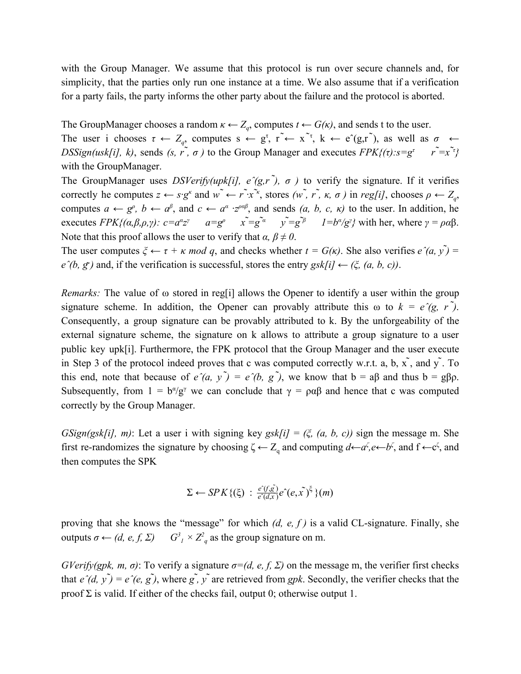with the Group Manager. We assume that this protocol is run over secure channels and, for simplicity, that the parties only run one instance at a time. We also assume that if a verification for a party fails, the party informs the other party about the failure and the protocol is aborted.

The GroupManager chooses a random  $\kappa \leftarrow Z_q$ , computes  $t \leftarrow G(\kappa)$ , and sends t to the user.

The user i chooses  $\tau \leftarrow Z_q$ , computes  $s \leftarrow g^{\tau}, r^{\tilde{\tau}} \leftarrow x^{\tilde{\tau}}, k \leftarrow e^{\tilde{\tau}}(g,r^{\tilde{\tau}}),$  as well as  $\sigma \leftarrow$ *DSSign(usk[i], k),* sends *(s, r, ̃, σ)* to the Group Manager and executes  $FPK{(t):s=g^t \t r^2=x^2}$ with the GroupManager.

The GroupManager uses *DSVerify(upk[i], e* $(g, r^2)$ ,  $\sigma$ ) to verify the signature. If it verifies correctly he computes  $z \leftarrow s \cdot g^k$  and  $w^* \leftarrow r^* \cdot x^*$ , stores  $(w^*, r^*, \kappa, \sigma)$  in reg[i], chooses  $\rho \leftarrow Z_q$ , computes  $a \leftarrow g^{\rho}, b \leftarrow a^{\beta}$ , and  $c \leftarrow a^{\alpha} \cdot z^{\rho \alpha \beta}$ , and sends  $(a, b, c, \kappa)$  to the user. In addition, he executes  $FPK{(a,\beta,\rho,\gamma)}$ :  $c=a^{\alpha}z^{\gamma}$   $a=g^{\rho}$   $x^{\alpha}=g^{\alpha}$   $y^{\alpha}=g^{\beta}$   $1=b^{\alpha}/g^{\gamma}$  with her, where  $\gamma = \rho \alpha \beta$ . Note that this proof allows the user to verify that  $\alpha$ ,  $\beta \neq 0$ .

> The user computes  $\xi \leftarrow \tau + \kappa \mod q$ , and checks whether  $t = G(\kappa)$ . She also verifies  $e^{\gamma}(a, y) =$  $e^{\hat{i}}(b, g^{\hat{j}})$  and, if the verification is successful, stores the entry  $g\hat{k}[i] \leftarrow (\xi, (a, b, c))$ .

> *Remarks:* The value of ω stored in reg[i] allows the Opener to identify a user within the group signature scheme. In addition, the Opener can provably attribute this  $\omega$  to  $k = e^{\gamma}(g, r^{\gamma})$ . Consequently, a group signature can be provably attributed to k. By the unforgeability of the external signature scheme, the signature on k allows to attribute a group signature to a user public key upk[i]. Furthermore, the FPK protocol that the Group Manager and the user execute in Step 3 of the protocol indeed proves that c was computed correctly w.r.t. a, b,  $\tilde{x}$ , and  $\tilde{y}$ . To this end, note that because of  $e^{\gamma}(a, y^{\gamma}) = e^{\gamma}(b, g^{\gamma})$ , we know that  $b = a\beta$  and thus  $b = g\beta\rho$ . Subsequently, from  $1 = b^{\alpha}/g^{\gamma}$  we can conclude that  $\gamma = \rho \alpha \beta$  and hence that c was computed correctly by the Group Manager.

> *GSign(gsk[i], m)*: Let a user i with signing key *gsk[i]* =  $(\xi, (a, b, c))$  sign the message m. She first re-randomizes the signature by choosing  $\zeta \leftarrow Z_q$  and computing  $d \leftarrow a^{\zeta}, e \leftarrow b^{\zeta}$ , and  $f \leftarrow c^{\zeta}$ , and then computes the SPK

$$
\Sigma \leftarrow SPK\{(\xi) : \frac{\hat{e^{\prime}(f,g)}}{\hat{e^{\prime}(d,x)}} e^{\hat{e}}(e,\tilde{x})^{\xi}\}(m)
$$

proving that she knows the "message" for which *(d, e, f )* is a valid CL-signature. Finally, she outputs *σ ← (d, e, f, Σ) G<sup>3</sup>*  $I \times Z^2$  as the group signature on m.

> *GVerify(gpk, m, σ)*: To verify a signature  $\sigma = (d, e, f, \Sigma)$  on the message m, the verifier first checks that  $e^{\hat{}}(d, y^{\hat{}}) = e^{\hat{}}(e, g^{\hat{}})$ , where  $g^{\hat{}}$ ,  $y^{\hat{}}$  are retrieved from *gpk*. Secondly, the verifier checks that the proof Σ is valid. If either of the checks fail, output 0; otherwise output 1.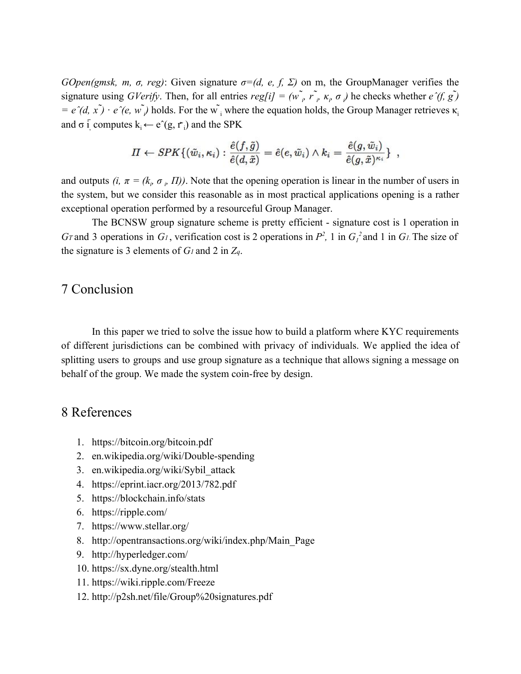*GOpen(gmsk, m, σ, reg)*: Given signature  $\sigma = (d, e, f, \Sigma)$  on m, the GroupManager verifies the signature using *GVerify*. Then, for all entries  $reg[i] = (w \rightarrow \hat{r} \rightarrow \hat{r} \rightarrow \hat{k} \rightarrow \sigma)$  he checks whether  $e \hat{i}(f, g \hat{j})$  $= e^{\gamma}(d, x) \cdot e^{\gamma}(e, w)$  holds. For the w<sub>i</sub> where the equation holds, the Group Manager retrieves  $\kappa$ <sub>i</sub> and  $\sigma$  i<sub>j</sub> computes  $k_i \leftarrow e^{\hat{}}(g, r_i)$  and the SPK

$$
\varPi\leftarrow SPK\{(\tilde w_i,\kappa_i): \frac{\hat e(f,\tilde g)}{\hat e(d,\tilde x)}=\hat e(e,\tilde w_i)\wedge k_i=\frac{\hat e(g,\tilde w_i)}{\hat e(g,\tilde x)^{\kappa_i}}\}\enspace,
$$

and outputs  $(i, \pi = (k_{i}, \sigma_{i})$ and outputs  $(i, \pi = (k, \sigma, \Pi))$ . Note that the opening operation is linear in the number of users in the system, but we consider this reasonable as in most practical applications opening is a rather exceptional operation performed by a resourceful Group Manager.

> The BCNSW group signature scheme is pretty efficient - signature cost is 1 operation in *G*<sup>*T*</sup> and 3 operations in *G*<sup>*1*</sup>, verification cost is 2 operations in  $P^2$ , 1 in  $G_I^2$  and 1 in *G*<sup>*1*</sup>. The size of the signature is 3 elements of *G1* and 2 in *Zq*.

## 7 Conclusion

In this paper we tried to solve the issue how to build a platform where KYC requirements of different jurisdictions can be combined with privacy of individuals. We applied the idea of splitting users to groups and use group signature as a technique that allows signing a message on behalf of the group. We made the system coin-free by design.

## 8 References

- 1. <https://bitcoin.org/bitcoin.pdf>
- 2. en.wikipedia.org/wiki/Double-spending
- 3. en.wikipedia.org/wiki/Sybil\_attack
- 4. https://eprint.iacr.org/2013/782.pdf
- 5. https://blockchain.info/stats
- 6. https://ripple.com/
- 7. https://www.stellar.org/
- 8. http://opentransactions.org/wiki/index.php/Main\_Page
- 9. http://hyperledger.com/
- 10. https://sx.dyne.org/stealth.html
- 11. <https://wiki.ripple.com/Freeze>
- 12. http://p2sh.net/file/Group%20signatures.pdf